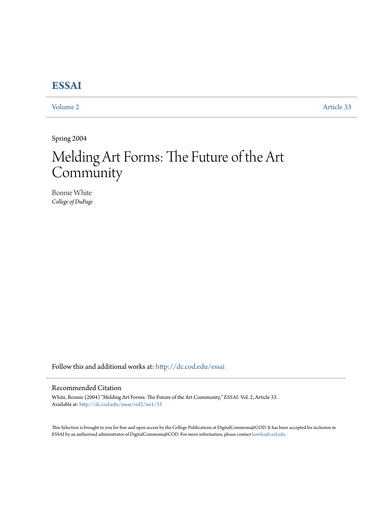## **[ESSAI](http://dc.cod.edu/essai?utm_source=dc.cod.edu%2Fessai%2Fvol2%2Fiss1%2F33&utm_medium=PDF&utm_campaign=PDFCoverPages)**

[Volume 2](http://dc.cod.edu/essai/vol2?utm_source=dc.cod.edu%2Fessai%2Fvol2%2Fiss1%2F33&utm_medium=PDF&utm_campaign=PDFCoverPages) [Article 33](http://dc.cod.edu/essai/vol2/iss1/33?utm_source=dc.cod.edu%2Fessai%2Fvol2%2Fiss1%2F33&utm_medium=PDF&utm_campaign=PDFCoverPages)

Spring 2004

# Melding Art Forms: The Future of the Art Community

Bonnie White *College of DuPage*

Follow this and additional works at: [http://dc.cod.edu/essai](http://dc.cod.edu/essai?utm_source=dc.cod.edu%2Fessai%2Fvol2%2Fiss1%2F33&utm_medium=PDF&utm_campaign=PDFCoverPages)

### Recommended Citation

White, Bonnie (2004) "Melding Art Forms: The Future of the Art Community," *ESSAI*: Vol. 2, Article 33. Available at: [http://dc.cod.edu/essai/vol2/iss1/33](http://dc.cod.edu/essai/vol2/iss1/33?utm_source=dc.cod.edu%2Fessai%2Fvol2%2Fiss1%2F33&utm_medium=PDF&utm_campaign=PDFCoverPages)

This Selection is brought to you for free and open access by the College Publications at DigitalCommons@COD. It has been accepted for inclusion in ESSAI by an authorized administrator of DigitalCommons@COD. For more information, please contact [koteles@cod.edu](mailto:koteles@cod.edu).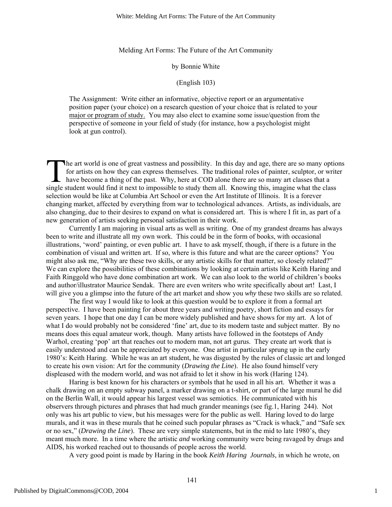#### Melding Art Forms: The Future of the Art Community

#### by Bonnie White

#### (English 103)

The Assignment: Write either an informative, objective report or an argumentative position paper (your choice) on a research question of your choice that is related to your major or program of study. You may also elect to examine some issue/question from the perspective of someone in your field of study (for instance, how a psychologist might look at gun control).

he art world is one of great vastness and possibility. In this day and age, there are so many options for artists on how they can express themselves. The traditional roles of painter, sculptor, or writer have become a thing of the past. Why, here at COD alone there are so many art classes that a The art world is one of great vastness and possibility. In this day and age, there are so many optio for artists on how they can express themselves. The traditional roles of painter, sculptor, or write have become a thing selection would be like at Columbia Art School or even the Art Institute of Illinois. It is a forever changing market, affected by everything from war to technological advances. Artists, as individuals, are also changing, due to their desires to expand on what is considered art. This is where I fit in, as part of a new generation of artists seeking personal satisfaction in their work.

Currently I am majoring in visual arts as well as writing. One of my grandest dreams has always been to write and illustrate all my own work. This could be in the form of books, with occasional illustrations, 'word' painting, or even public art. I have to ask myself, though, if there is a future in the combination of visual and written art. If so, where is this future and what are the career options? You might also ask me, "Why are these two skills, or any artistic skills for that matter, so closely related?" We can explore the possibilities of these combinations by looking at certain artists like Keith Haring and Faith Ringgold who have done combination art work. We can also look to the world of children's books and author/illustrator Maurice Sendak. There are even writers who write specifically about art! Last, I will give you a glimpse into the future of the art market and show you *why* these two skills are so related.

The first way I would like to look at this question would be to explore it from a formal art perspective. I have been painting for about three years and writing poetry, short fiction and essays for seven years. I hope that one day I can be more widely published and have shows for my art. A lot of what I do would probably not be considered 'fine' art, due to its modern taste and subject matter. By no means does this equal amateur work, though. Many artists have followed in the footsteps of Andy Warhol, creating 'pop' art that reaches out to modern man, not art gurus. They create art work that is easily understood and can be appreciated by everyone. One artist in particular sprung up in the early 1980's: Keith Haring. While he was an art student, he was disgusted by the rules of classic art and longed to create his own vision: Art for the community (*Drawing the Line*). He also found himself very displeased with the modern world, and was not afraid to let it show in his work (Haring 124).

Haring is best known for his characters or symbols that he used in all his art. Whether it was a chalk drawing on an empty subway panel, a marker drawing on a t-shirt, or part of the large mural he did on the Berlin Wall, it would appear his largest vessel was semiotics. He communicated with his observers through pictures and phrases that had much grander meanings (see fig.1, Haring 244). Not only was his art public to view, but his messages were for the public as well. Haring loved to do large murals, and it was in these murals that he coined such popular phrases as "Crack is whack," and "Safe sex or no sex," (*Drawing the Line*). These are very simple statements, but in the mid to late 1980's, they meant much more. In a time where the artistic *and* working community were being ravaged by drugs and AIDS, his worked reached out to thousands of people across the world.

A very good point is made by Haring in the book *Keith Haring Journals*, in which he wrote, on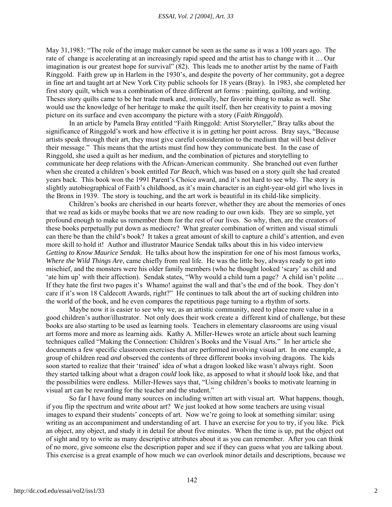#### *ESSAI, Vol. 2 [2004], Art. 33*

May 31,1983: "The role of the image maker cannot be seen as the same as it was a 100 years ago. The rate of change is accelerating at an increasingly rapid speed and the artist has to change with it … Our imagination is our greatest hope for survival" (82). This leads me to another artist by the name of Faith Ringgold. Faith grew up in Harlem in the 1930's, and despite the poverty of her community, got a degree in fine art and taught art at New York City public schools for 18 years (Bray). In 1983, she completed her first story quilt, which was a combination of three different art forms : painting, quilting, and writing. Theses story quilts came to be her trade mark and, ironically, her favorite thing to make as well. She would use the knowledge of her heritage to make the quilt itself, then her creativity to paint a moving picture on its surface and even accompany the picture with a story (*Faith Ringgold*).

In an article by Pamela Bray entitled "Faith Ringgold: Artist Storyteller," Bray talks about the significance of Ringgold's work and how effective it is in getting her point across. Bray says, "Because artists speak through their art, they must give careful consideration to the medium that will best deliver their message." This means that the artists must find how they communicate best. In the case of Ringgold, she used a quilt as her medium, and the combination of pictures and storytelling to communicate her deep relations with the African-American community. She branched out even further when she created a children's book entitled *Tar Beach*, which was based on a story quilt she had created years back. This book won the 1991 Parent's Choice award, and it's not hard to see why. The story is slightly autobiographical of Faith's childhood, as it's main character is an eight-year-old girl who lives in the Bronx in 1939. The story is touching, and the art work is beautiful in its child-like simplicity.

Children's books are cherished in our hearts forever, whether they are about the memories of ones that we read as kids or maybe books that we are now reading to our own kids. They are so simple, yet profound enough to make us remember them for the rest of our lives. So why, then, are the creators of these books perpetually put down as mediocre? What greater combination of written and visual stimuli can there be than the child's book? It takes a great amount of skill to capture a child's attention, and even more skill to hold it! Author and illustrator Maurice Sendak talks about this in his video interview *Getting to Know Maurice Sendak*. He talks about how the inspiration for one of his most famous works, *Where the Wild Things Are*, came chiefly from real life. He was the little boy, always ready to get into mischief, and the monsters were his older family members (who he thought looked 'scary' as child and 'ate him up' with their affection). Sendak states, "Why would a child turn a page? A child isn't polite ... If they hate the first two pages it's Whamo! against the wall and that's the end of the book. They don't care if it's won 18 Caldecott Awards, right?" He continues to talk about the art of sucking children into the world of the book, and he even compares the repetitious page turning to a rhythm of sorts.

Maybe now it is easier to see why we, as an artistic community, need to place more value in a good children's author/illustrator. Not only does their work create a different kind of challenge, but these books are also starting to be used as learning tools. Teachers in elementary classrooms are using visual art forms more and more as learning aids. Kathy A. Miller-Hewes wrote an article about such learning techniques called "Making the Connection: Children's Books and the Visual Arts." In her article she documents a few specific classroom exercises that are performed involving visual art. In one example, a group of children read *and* observed the contents of three different books involving dragons. The kids soon started to realize that their 'trained' idea of what a dragon looked like wasn't always right. Soon they started talking about what a dragon *could* look like, as apposed to what it *should* look like, and that the possibilities were endless. Miller-Hewes says that, "Using children's books to motivate learning in visual art can be rewarding for the teacher and the student."

So far I have found many sources on including written art with visual art. What happens, though, if you flip the spectrum and write *about* art? We just looked at how some teachers are using visual images to expand their students' concepts of art. Now we're going to look at something similar: using writing as an accompaniment and understanding of art. I have an exercise for you to try, if you like. Pick an object, any object, and study it in detail for about five minutes. When the time is up, put the object out of sight and try to write as many descriptive attributes about it as you can remember. After you can think of no more, give someone else the description paper and see if they can guess what you are talking about. This exercise is a great example of how much we can overlook minor details and descriptions, because we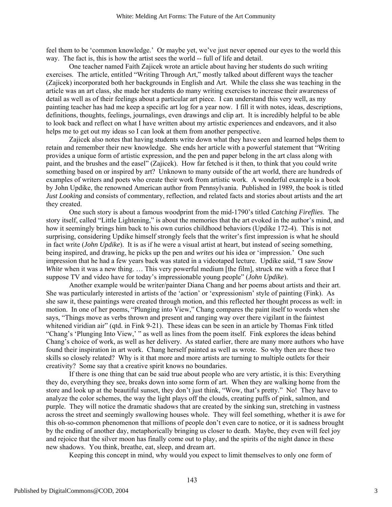feel them to be 'common knowledge.' Or maybe yet, we've just never opened our eyes to the world this way. The fact is, this is how the artist sees the world -- full of life and detail.

One teacher named Faith Zajicek wrote an article about having her students do such writing exercises. The article, entitled "Writing Through Art," mostly talked about different ways the teacher (Zajicek) incorporated both her backgrounds in English and Art. While the class she was teaching in the article was an art class, she made her students do many writing exercises to increase their awareness of detail as well as of their feelings about a particular art piece. I can understand this very well, as my painting teacher has had me keep a specific art log for a year now. I fill it with notes, ideas, descriptions, definitions, thoughts, feelings, journalings, even drawings and clip art. It is incredibly helpful to be able to look back and reflect on what I have written about my artistic experiences and endeavors, and it also helps me to get out my ideas so I can look at them from another perspective.

Zajicek also notes that having students write down what they have seen and learned helps them to retain and remember their new knowledge. She ends her article with a powerful statement that "Writing provides a unique form of artistic expression, and the pen and paper belong in the art class along with paint, and the brushes and the easel" (Zajicek). How far fetched is it then, to think that you could write something based on or inspired by art? Unknown to many outside of the art world, there are hundreds of examples of writers and poets who create their work from artistic work. A wonderful example is a book by John Updike, the renowned American author from Pennsylvania. Published in 1989, the book is titled *Just Looking* and consists of commentary, reflection, and related facts and stories about artists and the art they created.

One such story is about a famous woodprint from the mid-1790's titled *Catching Fireflies*. The story itself, called "Little Lightening," is about the memories that the art evoked in the author's mind, and how it seemingly brings him back to his own curios childhood behaviors (Updike 172-4). This is not surprising, considering Updike himself strongly feels that the writer's first impression is what he should in fact write (*John Updike*). It is as if he were a visual artist at heart, but instead of seeing something, being inspired, and drawing, he picks up the pen and *writes out* his idea or 'impression.' One such impression that he had a few years back was stated in a videotaped lecture. Updike said, "I saw *Snow White* when it was a new thing. ... This very powerful medium [the film], struck me with a force that I suppose TV and video have for today's impressionable young people" (*John Updike*).

Another example would be writer/painter Diana Chang and her poems about artists and their art. She was particularly interested in artists of the 'action' or 'expressionism' style of painting (Fink). As she saw it, these paintings were created through motion, and this reflected her thought process as well: in motion. In one of her poems, "Plunging into View," Chang compares the paint itself to words when she says, "Things move as verbs thrown and present and ranging way over there vigilant in the faintest whitened viridian air" (qtd. in Fink 9-21). These ideas can be seen in an article by Thomas Fink titled "Chang's 'Plunging Into View,' " as well as lines from the poem itself. Fink explores the ideas behind Chang's choice of work, as well as her delivery. As stated earlier, there are many more authors who have found their inspiration in art work. Chang herself painted as well as wrote. So why then are these two skills so closely related? Why is it that more and more artists are turning to multiple outlets for their creativity? Some say that a creative spirit knows no boundaries.

If there is one thing that can be said true about people who are very artistic, it is this: Everything they do, everything they see, breaks down into some form of art. When they are walking home from the store and look up at the beautiful sunset, they don't just think, "Wow, that's pretty." No! They have to analyze the color schemes, the way the light plays off the clouds, creating puffs of pink, salmon, and purple. They will notice the dramatic shadows that are created by the sinking sun, stretching in vastness across the street and seemingly swallowing houses whole. They will feel something, whether it is awe for this oh-so-common phenomenon that millions of people don't even care to notice, or it is sadness brought by the ending of another day, metaphorically bringing us closer to death. Maybe, they even will feel joy and rejoice that the silver moon has finally come out to play, and the spirits of the night dance in these new shadows. You think, breathe, eat, sleep, and dream art.

Keeping this concept in mind, why would you expect to limit themselves to only one form of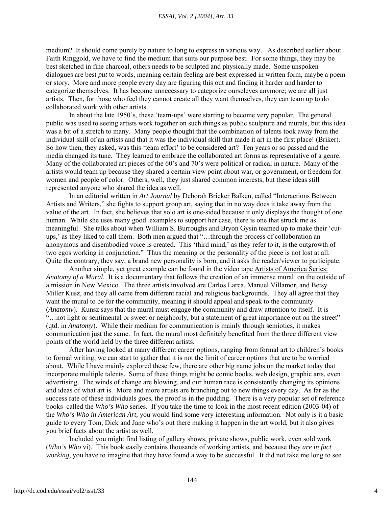medium? It should come purely by nature to long to express in various way. As described earlier about Faith Ringgold, we have to find the medium that suits our purpose best. For some things, they may be best sketched in fine charcoal, others needs to be sculpted and physically made. Some unspoken dialogues are best *put* to words, meaning certain feeling are best expressed in written form, maybe a poem or story. More and more people every day are figuring this out and finding it harder and harder to categorize themselves. It has become unnecessary to categorize ourseleves anymore; we are all just artists. Then, for those who feel they cannot create all they want themselves, they can team up to do collaborated work with other artists.

In about the late 1950's, these 'team-ups' were starting to become very popular. The general public was used to seeing artists work together on such things as public sculpture and murals, but this idea was a bit of a stretch to many. Many people thought that the combination of talents took away from the individual skill of an artists and that it was the individual skill that made it art in the first place! (Briker). So how then, they asked, was this 'team effort' to be considered art? Ten years or so passed and the media changed its tune. They learned to embrace the collaborated art forms as representative of a genre. Many of the collaborated art pieces of the 60's and 70's were political or radical in nature. Many of the artists would team up because they shared a certain view point about war, or government, or freedom for women and people of color. Others, well, they just shared common interests, but these ideas still represented anyone who shared the idea as well.

In an editorial written in *Art Journal* by Deborah Bricker Balken, called "Interactions Between Artists and Writers," she fights to support group art, saying that in no way does it take away from the value of the art. In fact, she believes that solo art is one-sided because it only displays the thought of one human. While she uses many good examples to support her case, there is one that struck me as meaningful. She talks about when William S. Burroughs and Bryon Gysin teamed up to make their 'cutups,' as they liked to call them. Both men argued that "…through the process of collaboration an anonymous and disembodied voice is created. This 'third mind,' as they refer to it, is the outgrowth of two egos working in conjunction." Thus the meaning or the personality of the piece is not lost at all. Quite the contrary, they say, a brand new personality is born, and it asks the reader/viewer to participate.

Another simple, yet great example can be found in the video tape Artists of America Series: *Anatomy of a Mural*. It is a documentary that follows the creation of an immense mural on the outside of a mission in New Mexico. The three artists involved are Carlos Larca, Manuel Villamor, and Betsy Miller Kusz, and they all came from different racial and religious backgrounds. They all agree that they want the mural to be for the community, meaning it should appeal and speak to the community (*Anatomy*). Kunsz says that the mural must engage the community and draw attention to itself. It is "…not light or sentimental or sweet or neighborly, but a statement of great importance out on the street" (qtd. in *Anatomy*). While their medium for communication is mainly through semiotics, it makes communication just the same. In fact, the mural most definitely benefited from the three different view points of the world held by the three different artists.

After having looked at many different career options, ranging from formal art to children's books to formal writing, we can start to gather that it is not the limit of career options that are to be worried about. While I have mainly explored these few, there are other big name jobs on the market today that incorporate multiple talents. Some of these things might be comic books, web design, graphic arts, even advertising. The winds of change are blowing, and our human race is consistently changing its opinions and ideas of what art is. More and more artists are branching out to new things every day. As far as the success rate of these individuals goes, the proof is in the pudding. There is a very popular set of reference books called the *Who's Who* series. If you take the time to look in the most recent edition (2003-04) of the *Who's Who in American Art,* you would find some very interesting information. Not only is it a basic guide to every Tom, Dick and Jane who's out there making it happen in the art world, but it also gives you brief facts about the artist as well.

Included you might find listing of gallery shows, private shows, public work, even sold work (*Who's Who* vi). This book easily contains thousands of working artists, and because they *are in fact working*, you have to imagine that they have found a way to be successful. It did not take me long to see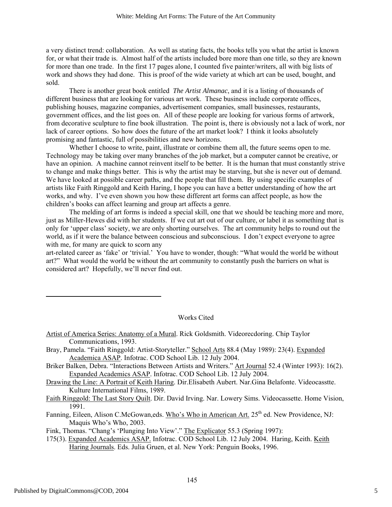a very distinct trend: collaboration. As well as stating facts, the books tells you what the artist is known for, or what their trade is. Almost half of the artists included bore more than one title, so they are known for more than one trade. In the first 17 pages alone, I counted five painter/writers, all with big lists of work and shows they had done. This is proof of the wide variety at which art can be used, bought, and sold.

There is another great book entitled *The Artist Almanac*, and it is a listing of thousands of different business that are looking for various art work. These business include corporate offices, publishing houses, magazine companies, advertisement companies, small businesses, restaurants, government offices, and the list goes on. All of these people are looking for various forms of artwork, from decorative sculpture to fine book illustration. The point is, there is obviously not a lack of work, nor lack of career options. So how does the future of the art market look? I think it looks absolutely promising and fantastic, full of possibilities and new horizons.

Whether I choose to write, paint, illustrate or combine them all, the future seems open to me. Technology may be taking over many branches of the job market, but a computer cannot be creative, or have an opinion. A machine cannot reinvent itself to be better. It is the human that must constantly strive to change and make things better. This is why the artist may be starving, but she is never out of demand. We have looked at possible career paths, and the people that fill them. By using specific examples of artists like Faith Ringgold and Keith Haring, I hope you can have a better understanding of how the art works, and why. I've even shown you how these different art forms can affect people, as how the children's books can affect learning and group art affects a genre.

The melding of art forms is indeed a special skill, one that we should be teaching more and more, just as Miller-Hewes did with her students. If we cut art out of our culture, or label it as something that is only for 'upper class' society, we are only shorting ourselves. The art community helps to round out the world, as if it were the balance between conscious and subconscious. I don't expect everyone to agree with me, for many are quick to scorn any

art-related career as 'fake' or 'trivial.' You have to wonder, though: "What would the world be without art?" What would the world be without the art community to constantly push the barriers on what is considered art? Hopefully, we'll never find out.

Works Cited

- Artist of America Series: Anatomy of a Mural. Rick Goldsmith. Videorecdoring. Chip Taylor Communications, 1993.
- Bray, Pamela. "Faith Ringgold: Artist-Storyteller." School Arts 88.4 (May 1989): 23(4). Expanded Academica ASAP. Infotrac. COD School Lib. 12 July 2004.
- Briker Balken, Debra. "Interactions Between Artists and Writers." Art Journal 52.4 (Winter 1993): 16(2). Expanded Academics ASAP. Infotrac. COD School Lib. 12 July 2004.
- Drawing the Line: A Portrait of Keith Haring. Dir.Elisabeth Aubert. Nar.Gina Belafonte. Videocasstte. Kulture International Films, 1989.

Faith Ringgold: The Last Story Quilt. Dir. David Irving. Nar. Lowery Sims. Videocassette. Home Vision, 1991.

Fanning, Eileen, Alison C.McGowan,eds. Who's Who in American Art. 25<sup>th</sup> ed. New Providence. NJ: Maquis Who's Who, 2003.

Fink, Thomas. "Chang's 'Plunging Into View'." The Explicator 55.3 (Spring 1997):

175(3). Expanded Academics ASAP. Infotrac. COD School Lib. 12 July 2004. Haring, Keith. Keith Haring Journals. Eds. Julia Gruen, et al. New York: Penguin Books, 1996.